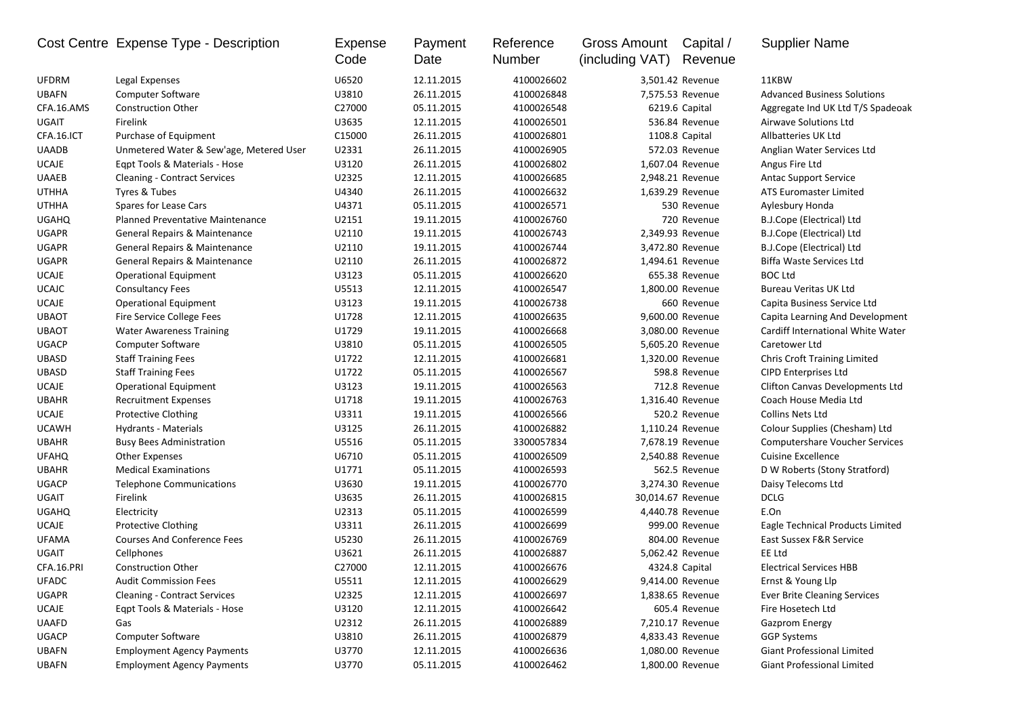|              | Cost Centre Expense Type - Description  | Expense<br>Code | Payment<br>Date | Reference<br>Number | <b>Gross Amount</b><br>(including VAT) | Capital /<br>Revenue | <b>Supplier Name</b>                   |
|--------------|-----------------------------------------|-----------------|-----------------|---------------------|----------------------------------------|----------------------|----------------------------------------|
| <b>UFDRM</b> | Legal Expenses                          | U6520           | 12.11.2015      | 4100026602          |                                        | 3,501.42 Revenue     | 11KBW                                  |
| <b>UBAFN</b> | <b>Computer Software</b>                | U3810           | 26.11.2015      | 4100026848          |                                        | 7,575.53 Revenue     | <b>Advanced Business Solutions</b>     |
| CFA.16.AMS   | <b>Construction Other</b>               | C27000          | 05.11.2015      | 4100026548          |                                        | 6219.6 Capital       | Aggregate Ind UK Ltd T/S Spadeoak      |
| <b>UGAIT</b> | Firelink                                | U3635           | 12.11.2015      | 4100026501          |                                        | 536.84 Revenue       | Airwave Solutions Ltd                  |
| CFA.16.ICT   | Purchase of Equipment                   | C15000          | 26.11.2015      | 4100026801          |                                        | 1108.8 Capital       | Allbatteries UK Ltd                    |
| <b>UAADB</b> | Unmetered Water & Sew'age, Metered User | U2331           | 26.11.2015      | 4100026905          |                                        | 572.03 Revenue       | Anglian Water Services Ltd             |
| <b>UCAJE</b> | Eqpt Tools & Materials - Hose           | U3120           | 26.11.2015      | 4100026802          |                                        | 1,607.04 Revenue     | Angus Fire Ltd                         |
| <b>UAAEB</b> | <b>Cleaning - Contract Services</b>     | U2325           | 12.11.2015      | 4100026685          |                                        | 2,948.21 Revenue     | <b>Antac Support Service</b>           |
| <b>UTHHA</b> | Tyres & Tubes                           | U4340           | 26.11.2015      | 4100026632          |                                        | 1,639.29 Revenue     | ATS Euromaster Limited                 |
| <b>UTHHA</b> | Spares for Lease Cars                   | U4371           | 05.11.2015      | 4100026571          |                                        | 530 Revenue          | Aylesbury Honda                        |
| <b>UGAHQ</b> | <b>Planned Preventative Maintenance</b> | U2151           | 19.11.2015      | 4100026760          |                                        | 720 Revenue          | B.J.Cope (Electrical) Ltd              |
| <b>UGAPR</b> | General Repairs & Maintenance           | U2110           | 19.11.2015      | 4100026743          |                                        | 2,349.93 Revenue     | B.J.Cope (Electrical) Ltd              |
| <b>UGAPR</b> | General Repairs & Maintenance           | U2110           | 19.11.2015      | 4100026744          |                                        | 3,472.80 Revenue     | B.J.Cope (Electrical) Ltd              |
| <b>UGAPR</b> | General Repairs & Maintenance           | U2110           | 26.11.2015      | 4100026872          |                                        | 1,494.61 Revenue     | <b>Biffa Waste Services Ltd</b>        |
| <b>UCAJE</b> | <b>Operational Equipment</b>            | U3123           | 05.11.2015      | 4100026620          |                                        | 655.38 Revenue       | <b>BOC Ltd</b>                         |
| <b>UCAJC</b> | <b>Consultancy Fees</b>                 | U5513           | 12.11.2015      | 4100026547          |                                        | 1,800.00 Revenue     | <b>Bureau Veritas UK Ltd</b>           |
| <b>UCAJE</b> | <b>Operational Equipment</b>            | U3123           | 19.11.2015      | 4100026738          |                                        | 660 Revenue          | Capita Business Service Ltd            |
| <b>UBAOT</b> | Fire Service College Fees               | U1728           | 12.11.2015      | 4100026635          |                                        | 9,600.00 Revenue     | Capita Learning And Development        |
| <b>UBAOT</b> | <b>Water Awareness Training</b>         | U1729           | 19.11.2015      | 4100026668          |                                        | 3,080.00 Revenue     | Cardiff International White Water      |
| <b>UGACP</b> | Computer Software                       | U3810           | 05.11.2015      | 4100026505          |                                        | 5,605.20 Revenue     | Caretower Ltd                          |
| <b>UBASD</b> | <b>Staff Training Fees</b>              | U1722           | 12.11.2015      | 4100026681          |                                        | 1,320.00 Revenue     | <b>Chris Croft Training Limited</b>    |
| <b>UBASD</b> | <b>Staff Training Fees</b>              | U1722           | 05.11.2015      | 4100026567          |                                        | 598.8 Revenue        | <b>CIPD Enterprises Ltd</b>            |
| <b>UCAJE</b> | <b>Operational Equipment</b>            | U3123           | 19.11.2015      | 4100026563          |                                        | 712.8 Revenue        | <b>Clifton Canvas Developments Ltd</b> |
| <b>UBAHR</b> | <b>Recruitment Expenses</b>             | U1718           | 19.11.2015      | 4100026763          |                                        | 1,316.40 Revenue     | Coach House Media Ltd                  |
| <b>UCAJE</b> | <b>Protective Clothing</b>              | U3311           | 19.11.2015      | 4100026566          |                                        | 520.2 Revenue        | Collins Nets Ltd                       |
| <b>UCAWH</b> | <b>Hydrants - Materials</b>             | U3125           | 26.11.2015      | 4100026882          |                                        | 1,110.24 Revenue     | Colour Supplies (Chesham) Ltd          |
| <b>UBAHR</b> | <b>Busy Bees Administration</b>         | U5516           | 05.11.2015      | 3300057834          |                                        | 7,678.19 Revenue     | Computershare Voucher Services         |
| <b>UFAHQ</b> | <b>Other Expenses</b>                   | U6710           | 05.11.2015      | 4100026509          |                                        | 2,540.88 Revenue     | <b>Cuisine Excellence</b>              |
| <b>UBAHR</b> | <b>Medical Examinations</b>             | U1771           | 05.11.2015      | 4100026593          |                                        | 562.5 Revenue        | D W Roberts (Stony Stratford)          |
| <b>UGACP</b> | <b>Telephone Communications</b>         | U3630           | 19.11.2015      | 4100026770          |                                        | 3,274.30 Revenue     | Daisy Telecoms Ltd                     |
| UGAIT        | Firelink                                | U3635           | 26.11.2015      | 4100026815          |                                        | 30,014.67 Revenue    | <b>DCLG</b>                            |
| <b>UGAHQ</b> | Electricity                             | U2313           | 05.11.2015      | 4100026599          |                                        | 4,440.78 Revenue     | E.On                                   |
| <b>UCAJE</b> | <b>Protective Clothing</b>              | U3311           | 26.11.2015      | 4100026699          |                                        | 999.00 Revenue       | Eagle Technical Products Limited       |
| <b>UFAMA</b> | <b>Courses And Conference Fees</b>      | U5230           | 26.11.2015      | 4100026769          |                                        | 804.00 Revenue       | East Sussex F&R Service                |
| <b>UGAIT</b> | Cellphones                              | U3621           | 26.11.2015      | 4100026887          |                                        | 5,062.42 Revenue     | EE Ltd                                 |
| CFA.16.PRI   | <b>Construction Other</b>               | C27000          | 12.11.2015      | 4100026676          |                                        | 4324.8 Capital       | <b>Electrical Services HBB</b>         |
| <b>UFADC</b> | <b>Audit Commission Fees</b>            | U5511           | 12.11.2015      | 4100026629          |                                        | 9,414.00 Revenue     | Ernst & Young Llp                      |
| <b>UGAPR</b> | <b>Cleaning - Contract Services</b>     | U2325           | 12.11.2015      | 4100026697          |                                        | 1,838.65 Revenue     | <b>Ever Brite Cleaning Services</b>    |
| UCAJE        | Eqpt Tools & Materials - Hose           | U3120           | 12.11.2015      | 4100026642          |                                        | 605.4 Revenue        | Fire Hosetech Ltd                      |
| <b>UAAFD</b> | Gas                                     | U2312           | 26.11.2015      | 4100026889          |                                        | 7,210.17 Revenue     | <b>Gazprom Energy</b>                  |
| <b>UGACP</b> | Computer Software                       | U3810           | 26.11.2015      | 4100026879          |                                        | 4,833.43 Revenue     | <b>GGP Systems</b>                     |
| <b>UBAFN</b> | <b>Employment Agency Payments</b>       | U3770           | 12.11.2015      | 4100026636          |                                        | 1,080.00 Revenue     | Giant Professional Limited             |
| <b>UBAFN</b> | <b>Employment Agency Payments</b>       | U3770           | 05.11.2015      | 4100026462          |                                        | 1,800.00 Revenue     | Giant Professional Limited             |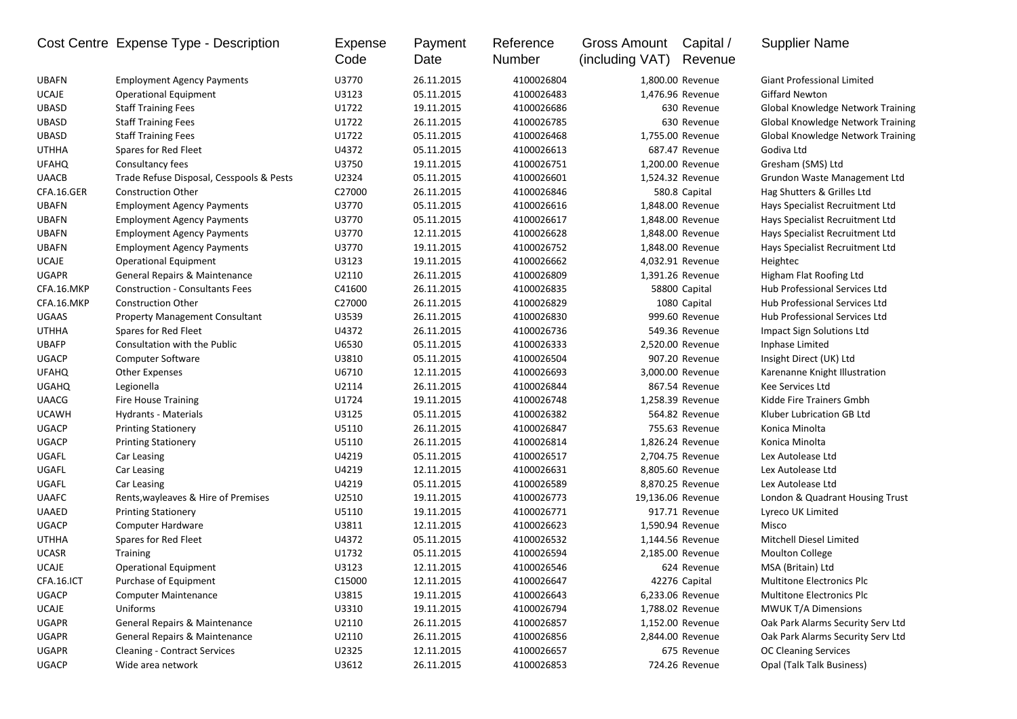|              | Cost Centre Expense Type - Description   | Expense<br>Code | Payment<br>Date | Reference<br>Number | <b>Gross Amount</b><br>(including VAT) | Capital /<br>Revenue | <b>Supplier Name</b>              |
|--------------|------------------------------------------|-----------------|-----------------|---------------------|----------------------------------------|----------------------|-----------------------------------|
| <b>UBAFN</b> | <b>Employment Agency Payments</b>        | U3770           | 26.11.2015      | 4100026804          |                                        | 1,800.00 Revenue     | <b>Giant Professional Limited</b> |
| <b>UCAJE</b> | <b>Operational Equipment</b>             | U3123           | 05.11.2015      | 4100026483          |                                        | 1,476.96 Revenue     | <b>Giffard Newton</b>             |
| <b>UBASD</b> | <b>Staff Training Fees</b>               | U1722           | 19.11.2015      | 4100026686          |                                        | 630 Revenue          | Global Knowledge Network Training |
| <b>UBASD</b> | <b>Staff Training Fees</b>               | U1722           | 26.11.2015      | 4100026785          |                                        | 630 Revenue          | Global Knowledge Network Training |
| <b>UBASD</b> | <b>Staff Training Fees</b>               | U1722           | 05.11.2015      | 4100026468          |                                        | 1,755.00 Revenue     | Global Knowledge Network Training |
| <b>UTHHA</b> | Spares for Red Fleet                     | U4372           | 05.11.2015      | 4100026613          |                                        | 687.47 Revenue       | Godiva Ltd                        |
| <b>UFAHQ</b> | Consultancy fees                         | U3750           | 19.11.2015      | 4100026751          |                                        | 1,200.00 Revenue     | Gresham (SMS) Ltd                 |
| <b>UAACB</b> | Trade Refuse Disposal, Cesspools & Pests | U2324           | 05.11.2015      | 4100026601          |                                        | 1,524.32 Revenue     | Grundon Waste Management Ltd      |
| CFA.16.GER   | <b>Construction Other</b>                | C27000          | 26.11.2015      | 4100026846          |                                        | 580.8 Capital        | Hag Shutters & Grilles Ltd        |
| <b>UBAFN</b> | <b>Employment Agency Payments</b>        | U3770           | 05.11.2015      | 4100026616          |                                        | 1,848.00 Revenue     | Hays Specialist Recruitment Ltd   |
| <b>UBAFN</b> | <b>Employment Agency Payments</b>        | U3770           | 05.11.2015      | 4100026617          |                                        | 1,848.00 Revenue     | Hays Specialist Recruitment Ltd   |
| <b>UBAFN</b> | <b>Employment Agency Payments</b>        | U3770           | 12.11.2015      | 4100026628          |                                        | 1,848.00 Revenue     | Hays Specialist Recruitment Ltd   |
| <b>UBAFN</b> | <b>Employment Agency Payments</b>        | U3770           | 19.11.2015      | 4100026752          |                                        | 1,848.00 Revenue     | Hays Specialist Recruitment Ltd   |
| <b>UCAJE</b> | Operational Equipment                    | U3123           | 19.11.2015      | 4100026662          |                                        | 4,032.91 Revenue     | Heightec                          |
| <b>UGAPR</b> | General Repairs & Maintenance            | U2110           | 26.11.2015      | 4100026809          |                                        | 1,391.26 Revenue     | Higham Flat Roofing Ltd           |
| CFA.16.MKP   | <b>Construction - Consultants Fees</b>   | C41600          | 26.11.2015      | 4100026835          |                                        | 58800 Capital        | Hub Professional Services Ltd     |
| CFA.16.MKP   | <b>Construction Other</b>                | C27000          | 26.11.2015      | 4100026829          |                                        | 1080 Capital         | Hub Professional Services Ltd     |
| <b>UGAAS</b> | <b>Property Management Consultant</b>    | U3539           | 26.11.2015      | 4100026830          |                                        | 999.60 Revenue       | Hub Professional Services Ltd     |
| <b>UTHHA</b> | Spares for Red Fleet                     | U4372           | 26.11.2015      | 4100026736          |                                        | 549.36 Revenue       | Impact Sign Solutions Ltd         |
| <b>UBAFP</b> | Consultation with the Public             | U6530           | 05.11.2015      | 4100026333          |                                        | 2,520.00 Revenue     | Inphase Limited                   |
| <b>UGACP</b> | Computer Software                        | U3810           | 05.11.2015      | 4100026504          |                                        | 907.20 Revenue       | Insight Direct (UK) Ltd           |
| <b>UFAHQ</b> | <b>Other Expenses</b>                    | U6710           | 12.11.2015      | 4100026693          |                                        | 3,000.00 Revenue     | Karenanne Knight Illustration     |
| <b>UGAHQ</b> | Legionella                               | U2114           | 26.11.2015      | 4100026844          |                                        | 867.54 Revenue       | Kee Services Ltd                  |
| <b>UAACG</b> | <b>Fire House Training</b>               | U1724           | 19.11.2015      | 4100026748          |                                        | 1,258.39 Revenue     | Kidde Fire Trainers Gmbh          |
| <b>UCAWH</b> | Hydrants - Materials                     | U3125           | 05.11.2015      | 4100026382          |                                        | 564.82 Revenue       | Kluber Lubrication GB Ltd         |
| UGACP        | <b>Printing Stationery</b>               | U5110           | 26.11.2015      | 4100026847          |                                        | 755.63 Revenue       | Konica Minolta                    |
| <b>UGACP</b> | <b>Printing Stationery</b>               | U5110           | 26.11.2015      | 4100026814          |                                        | 1,826.24 Revenue     | Konica Minolta                    |
| UGAFL        | Car Leasing                              | U4219           | 05.11.2015      | 4100026517          |                                        | 2,704.75 Revenue     | Lex Autolease Ltd                 |
| UGAFL        | Car Leasing                              | U4219           | 12.11.2015      | 4100026631          |                                        | 8,805.60 Revenue     | Lex Autolease Ltd                 |
| UGAFL        | Car Leasing                              | U4219           | 05.11.2015      | 4100026589          |                                        | 8,870.25 Revenue     | Lex Autolease Ltd                 |
| <b>UAAFC</b> | Rents, wayleaves & Hire of Premises      | U2510           | 19.11.2015      | 4100026773          |                                        | 19,136.06 Revenue    | London & Quadrant Housing Trust   |
| <b>UAAED</b> | <b>Printing Stationery</b>               | U5110           | 19.11.2015      | 4100026771          |                                        | 917.71 Revenue       | Lyreco UK Limited                 |
| <b>UGACP</b> | Computer Hardware                        | U3811           | 12.11.2015      | 4100026623          |                                        | 1,590.94 Revenue     | Misco                             |
| <b>UTHHA</b> | Spares for Red Fleet                     | U4372           | 05.11.2015      | 4100026532          |                                        | 1,144.56 Revenue     | <b>Mitchell Diesel Limited</b>    |
| <b>UCASR</b> | <b>Training</b>                          | U1732           | 05.11.2015      | 4100026594          |                                        | 2,185.00 Revenue     | <b>Moulton College</b>            |
| <b>UCAJE</b> | <b>Operational Equipment</b>             | U3123           | 12.11.2015      | 4100026546          |                                        | 624 Revenue          | MSA (Britain) Ltd                 |
| CFA.16.ICT   | Purchase of Equipment                    | C15000          | 12.11.2015      | 4100026647          |                                        | 42276 Capital        | Multitone Electronics Plc         |
| <b>UGACP</b> | <b>Computer Maintenance</b>              | U3815           | 19.11.2015      | 4100026643          |                                        | 6,233.06 Revenue     | <b>Multitone Electronics Plc</b>  |
| UCAJE        | Uniforms                                 | U3310           | 19.11.2015      | 4100026794          |                                        | 1,788.02 Revenue     | MWUK T/A Dimensions               |
| UGAPR        | General Repairs & Maintenance            | U2110           | 26.11.2015      | 4100026857          |                                        | 1,152.00 Revenue     | Oak Park Alarms Security Serv Ltd |
| UGAPR        | General Repairs & Maintenance            | U2110           | 26.11.2015      | 4100026856          |                                        | 2,844.00 Revenue     | Oak Park Alarms Security Serv Ltd |
| <b>UGAPR</b> | <b>Cleaning - Contract Services</b>      | U2325           | 12.11.2015      | 4100026657          |                                        | 675 Revenue          | <b>OC Cleaning Services</b>       |
| <b>UGACP</b> | Wide area network                        | U3612           | 26.11.2015      | 4100026853          |                                        | 724.26 Revenue       | Opal (Talk Talk Business)         |